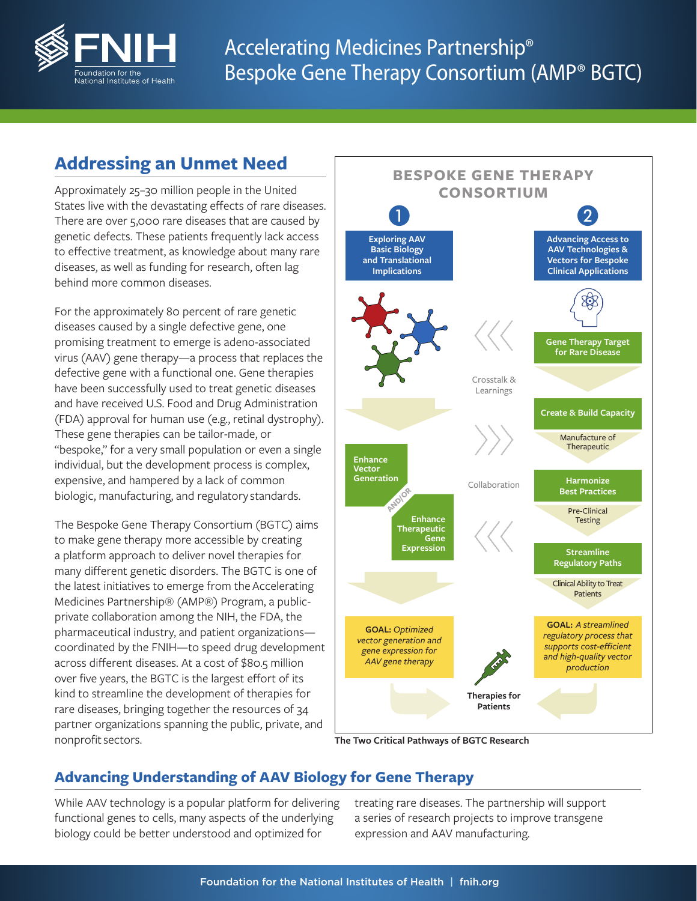

# Accelerating Medicines Partnership® Bespoke Gene Therapy Consortium (AMP® BGTC)

# **Addressing an Unmet Need**

Approximately 25–30 million people in the United States live with the devastating effects of rare diseases. There are over 5,000 rare diseases that are caused by genetic defects. These patients frequently lack access to effective treatment, as knowledge about many rare diseases, as well as funding for research, often lag behind more common diseases.

For the approximately 80 percent of rare genetic diseases caused by a single defective gene, one promising treatment to emerge is adeno-associated virus (AAV) gene therapy—a process that replaces the defective gene with a functional one. Gene therapies have been successfully used to treat genetic diseases and have received U.S. Food and Drug Administration (FDA) approval for human use (e.g., retinal dystrophy). These gene therapies can be tailor-made, or "bespoke," for a very small population or even a single individual, but the development process is complex, expensive, and hampered by a lack of common biologic, manufacturing, and regulatory standards.

The Bespoke Gene Therapy Consortium (BGTC) aims to make gene therapy more accessible by creating a platform approach to deliver novel therapies for many different genetic disorders. The BGTC is one of the latest initiatives to emerge from the [Accelerating](https://fnih.org/our-programs/AMP)  [Medicines Partnership® \(AMP®\) Program,](https://fnih.org/our-programs/AMP) a publicprivate collaboration among the NIH, the FDA, the pharmaceutical industry, and patient organizations coordinated by the FNIH—to speed drug development across different diseases. At a cost of \$80.5 million over five years, the BGTC is the largest effort of its kind to streamline the development of therapies for rare diseases, bringing together the resources of 34 partner organizations spanning the public, private, and nonprofit sectors.



# **Advancing Understanding of AAV Biology for Gene Therapy**

While AAV technology is a popular platform for delivering functional genes to cells, many aspects of the underlying biology could be better understood and optimized for

treating rare diseases. The partnership will support a series of research projects to improve transgene expression and AAV manufacturing.